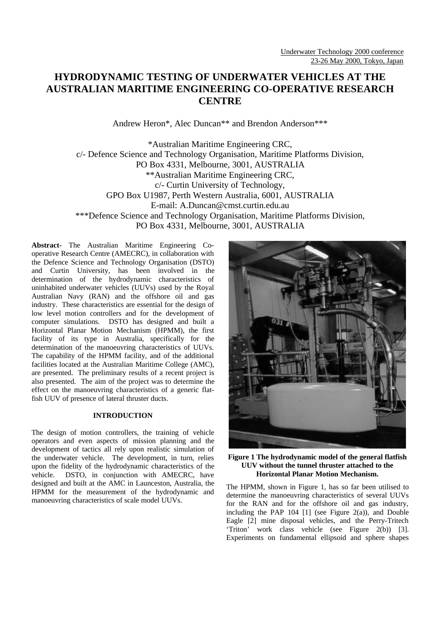# **HYDRODYNAMIC TESTING OF UNDERWATER VEHICLES AT THE AUSTRALIAN MARITIME ENGINEERING CO-OPERATIVE RESEARCH CENTRE**

Andrew Heron\*, Alec Duncan\*\* and Brendon Anderson\*\*\*

\*Australian Maritime Engineering CRC, c/- Defence Science and Technology Organisation, Maritime Platforms Division, PO Box 4331, Melbourne, 3001, AUSTRALIA \*\*Australian Maritime Engineering CRC, c/- Curtin University of Technology, GPO Box U1987, Perth Western Australia, 6001, AUSTRALIA E-mail: A.Duncan@cmst.curtin.edu.au \*\*\*Defence Science and Technology Organisation, Maritime Platforms Division, PO Box 4331, Melbourne, 3001, AUSTRALIA

**Abstract-** The Australian Maritime Engineering Cooperative Research Centre (AMECRC), in collaboration with the Defence Science and Technology Organisation (DSTO) and Curtin University, has been involved in the determination of the hydrodynamic characteristics of uninhabited underwater vehicles (UUVs) used by the Royal Australian Navy (RAN) and the offshore oil and gas industry. These characteristics are essential for the design of low level motion controllers and for the development of computer simulations. DSTO has designed and built a Horizontal Planar Motion Mechanism (HPMM), the first facility of its type in Australia, specifically for the determination of the manoeuvring characteristics of UUVs. The capability of the HPMM facility, and of the additional facilities located at the Australian Maritime College (AMC), are presented. The preliminary results of a recent project is also presented. The aim of the project was to determine the effect on the manoeuvring characteristics of a generic flatfish UUV of presence of lateral thruster ducts.

# **INTRODUCTION**

The design of motion controllers, the training of vehicle operators and even aspects of mission planning and the development of tactics all rely upon realistic simulation of the underwater vehicle. The development, in turn, relies upon the fidelity of the hydrodynamic characteristics of the vehicle. DSTO, in conjunction with AMECRC, have designed and built at the AMC in Launceston, Australia, the HPMM for the measurement of the hydrodynamic and manoeuvring characteristics of scale model UUVs.



**Figure 1 The hydrodynamic model of the general flatfish UUV without the tunnel thruster attached to the Horizontal Planar Motion Mechanism.**

The HPMM, shown in Figure 1, has so far been utilised to determine the manoeuvring characteristics of several UUVs for the RAN and for the offshore oil and gas industry, including the PAP  $104$  [1] (see Figure 2(a)), and Double Eagle [2] mine disposal vehicles, and the Perry-Tritech 'Triton' work class vehicle (see Figure 2(b)) [3]. Experiments on fundamental ellipsoid and sphere shapes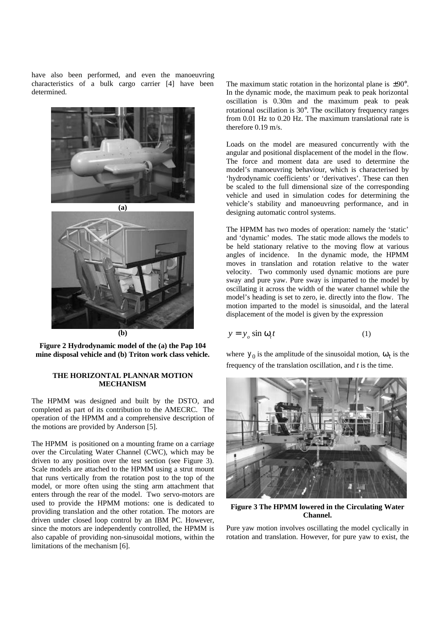have also been performed, and even the manoeuvring characteristics of a bulk cargo carrier [4] have been determined.





**Figure 2 Hydrodynamic model of the (a) the Pap 104 mine disposal vehicle and (b) Triton work class vehicle.**

## **THE HORIZONTAL PLANNAR MOTION MECHANISM**

The HPMM was designed and built by the DSTO, and completed as part of its contribution to the AMECRC. The operation of the HPMM and a comprehensive description of the motions are provided by Anderson [5].

The HPMM is positioned on a mounting frame on a carriage over the Circulating Water Channel (CWC), which may be driven to any position over the test section (see Figure 3). Scale models are attached to the HPMM using a strut mount that runs vertically from the rotation post to the top of the model, or more often using the sting arm attachment that enters through the rear of the model. Two servo-motors are used to provide the HPMM motions: one is dedicated to providing translation and the other rotation. The motors are driven under closed loop control by an IBM PC. However, since the motors are independently controlled, the HPMM is also capable of providing non-sinusoidal motions, within the limitations of the mechanism [6].

The maximum static rotation in the horizontal plane is  $\pm 90^\circ$ . In the dynamic mode, the maximum peak to peak horizontal oscillation is 0.30m and the maximum peak to peak rotational oscillation is 30°. The oscillatory frequency ranges from 0.01 Hz to 0.20 Hz. The maximum translational rate is therefore 0.19 m/s.

Loads on the model are measured concurrently with the angular and positional displacement of the model in the flow. The force and moment data are used to determine the model's manoeuvring behaviour, which is characterised by 'hydrodynamic coefficients' or 'derivatives'. These can then be scaled to the full dimensional size of the corresponding vehicle and used in simulation codes for determining the vehicle's stability and manoeuvring performance, and in designing automatic control systems.

The HPMM has two modes of operation: namely the 'static' and 'dynamic' modes. The static mode allows the models to be held stationary relative to the moving flow at various angles of incidence. In the dynamic mode, the HPMM moves in translation and rotation relative to the water velocity. Two commonly used dynamic motions are pure sway and pure yaw. Pure sway is imparted to the model by oscillating it across the width of the water channel while the model's heading is set to zero, ie. directly into the flow. The motion imparted to the model is sinusoidal, and the lateral displacement of the model is given by the expression

$$
y = y_o \sin \omega_t t \tag{1}
$$

where  $y_0$  is the amplitude of the sinusoidal motion,  $w_t$  is the frequency of the translation oscillation, and *t* is the time.



**Figure 3 The HPMM lowered in the Circulating Water Channel.**

Pure yaw motion involves oscillating the model cyclically in rotation and translation. However, for pure yaw to exist, the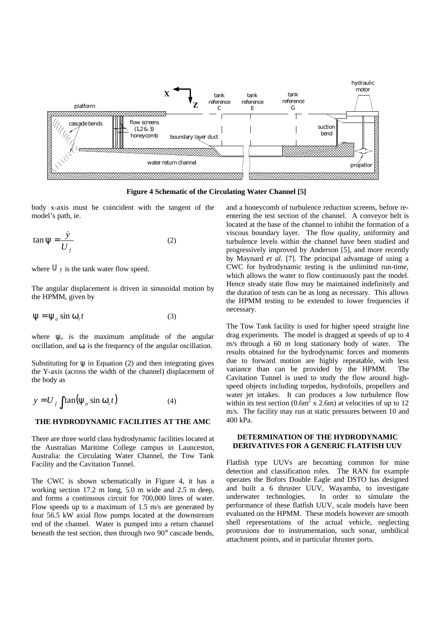

**Figure 4 Schematic of the Circulating Water Channel [5]**

body x-axis must be coincident with the tangent of the model's path, ie.

$$
\tan \psi = \frac{\dot{y}}{U_f} \tag{2}
$$

where  $U_f$  is the tank water flow speed.

The angular displacement is driven in sinusoidal motion by the HPMM, given by

$$
\Psi = \Psi_o \sin \omega_r t \tag{3}
$$

where  $y<sub>o</sub>$  is the maximum amplitude of the angular oscillation, and  $w_r$  is the frequency of the angular oscillation.

Substituting for  $\bf{v}$  in Equation (2) and then integrating gives the Y-axis (across the width of the channel) displacement of the body as

$$
y = U_f \int \tan(\psi_o \sin \omega_r t)
$$
 (4)

#### **THE HYDRODYNAMIC FACILITIES AT THE AMC**

There are three world class hydrodynamic facilities located at the Australian Maritime College campus in Launceston, Australia: the Circulating Water Channel, the Tow Tank Facility and the Cavitation Tunnel.

The CWC is shown schematically in Figure 4, it has a working section 17.2 m long, 5.0 m wide and 2.5 m deep, and forms a continuous circuit for 700,000 litres of water. Flow speeds up to a maximum of 1.5 m/s are generated by four 56.5 kW axial flow pumps located at the downstream end of the channel. Water is pumped into a return channel beneath the test section, then through two 90° cascade bends, and a honeycomb of turbulence reduction screens, before reentering the test section of the channel. A conveyor belt is located at the base of the channel to inhibit the formation of a viscous boundary layer. The flow quality, uniformity and turbulence levels within the channel have been studied and progressively improved by Anderson [5], and more recently by Maynard *et al.* [7]. The principal advantage of using a CWC for hydrodynamic testing is the unlimited run-time, which allows the water to flow continuously past the model. Hence steady state flow may be maintained indefinitely and the duration of tests can be as long as necessary. This allows the HPMM testing to be extended to lower frequencies if necessary.

The Tow Tank facility is used for higher speed straight line drag experiments. The model is dragged at speeds of up to 4 m/s through a 60 m long stationary body of water. The results obtained for the hydrodynamic forces and moments due to forward motion are highly repeatable, with less variance than can be provided by the HPMM. The Cavitation Tunnel is used to study the flow around highspeed objects including torpedos, hydrofoils, propellers and water jet intakes. It can produces a low turbulence flow within its test section (0.6 $m^2$  x 2.6m) at velocities of up to 12 m/s. The facility may run at static pressures between 10 and 400 kPa.

### **DETERMINATION OF THE HYDRODYNAMIC DERIVATIVES FOR A GENERIC FLATFISH UUV**

Flatfish type UUVs are becoming common for mine detection and classification roles. The RAN for example operates the Bofors Double Eagle and DSTO has designed and built a 6 thruster UUV, Wayamba, to investigate underwater technologies. In order to simulate the performance of these flatfish UUV, scale models have been evaluated on the HPMM. These models however are smooth shell representations of the actual vehicle, neglecting protrusions due to instrumentation, such sonar, umbilical attachment points, and in particular thruster ports.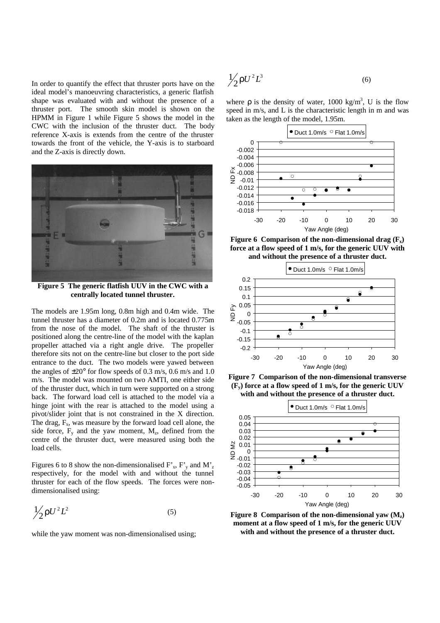In order to quantify the effect that thruster ports have on the ideal model's manoeuvring characteristics, a generic flatfish shape was evaluated with and without the presence of a thruster port. The smooth skin model is shown on the HPMM in Figure 1 while Figure 5 shows the model in the CWC with the inclusion of the thruster duct. The body reference X-axis is extends from the centre of the thruster towards the front of the vehicle, the Y-axis is to starboard and the Z-axis is directly down.



**Figure 5 The generic flatfish UUV in the CWC with a centrally located tunnel thruster.**

The models are 1.95m long, 0.8m high and 0.4m wide. The tunnel thruster has a diameter of 0.2m and is located 0.775m from the nose of the model. The shaft of the thruster is positioned along the centre-line of the model with the kaplan propeller attached via a right angle drive. The propeller therefore sits not on the centre-line but closer to the port side entrance to the duct. The two models were yawed between the angles of  $\pm 20^{\circ}$  for flow speeds of 0.3 m/s, 0.6 m/s and 1.0 m/s. The model was mounted on two AMTI, one either side of the thruster duct, which in turn were supported on a strong back. The forward load cell is attached to the model via a hinge joint with the rear is attached to the model using a pivot/slider joint that is not constrained in the X direction. The drag,  $F_x$ , was measure by the forward load cell alone, the side force,  $F_y$  and the yaw moment,  $M_z$ , defined from the centre of the thruster duct, were measured using both the load cells.

Figures 6 to 8 show the non-dimensionalised  $F_x$ ,  $F_y$  and  $M_z$ respectively, for the model with and without the tunnel thruster for each of the flow speeds. The forces were nondimensionalised using:

$$
\frac{1}{2}\rho U^2 L^2 \tag{5}
$$

while the yaw moment was non-dimensionalised using;

$$
\frac{1}{2}\rho U^2 L^3 \tag{6}
$$

where  $\rho$  is the density of water, 1000 kg/m<sup>3</sup>, U is the flow speed in m/s, and L is the characteristic length in m and was taken as the length of the model, 1.95m.



**Figure 6 Comparison of the non-dimensional drag (Fx) force at a flow speed of 1 m/s, for the generic UUV with and without the presence of a thruster duct.**



**Figure 7 Comparison of the non-dimensional transverse (Fy) force at a flow speed of 1 m/s, for the generic UUV with and without the presence of a thruster duct.**



**Figure 8 Comparison of the non-dimensional yaw (Mz) moment at a flow speed of 1 m/s, for the generic UUV with and without the presence of a thruster duct.**